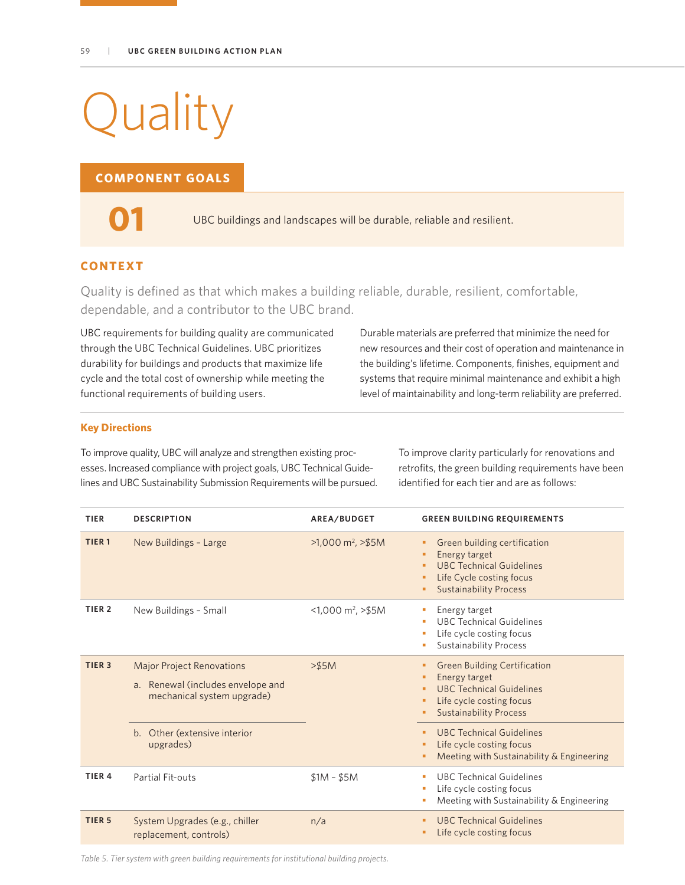# **Quality**

## **COMPONENT GOALS**

**01**

UBC buildings and landscapes will be durable, reliable and resilient.

## **CONTEXT**

Quality is defined as that which makes a building reliable, durable, resilient, comfortable, dependable, and a contributor to the UBC brand.

UBC requirements for building quality are communicated through the UBC Technical Guidelines. UBC prioritizes durability for buildings and products that maximize life cycle and the total cost of ownership while meeting the functional requirements of building users.

Durable materials are preferred that minimize the need for new resources and their cost of operation and maintenance in the building's lifetime. Components, finishes, equipment and systems that require minimal maintenance and exhibit a high level of maintainability and long-term reliability are preferred.

#### **Key Directions**

To improve quality, UBC will analyze and strengthen existing processes. Increased compliance with project goals, UBC Technical Guidelines and UBC Sustainability Submission Requirements will be pursued. To improve clarity particularly for renovations and retrofits, the green building requirements have been identified for each tier and are as follows:

| <b>TIER</b>       | <b>DESCRIPTION</b>                                                                                  | AREA/BUDGET                      | <b>GREEN BUILDING REQUIREMENTS</b>                                                                                                                      |
|-------------------|-----------------------------------------------------------------------------------------------------|----------------------------------|---------------------------------------------------------------------------------------------------------------------------------------------------------|
| TIER <sub>1</sub> | New Buildings - Large                                                                               | $>1,000 \text{ m}^2$ , $> 55M$   | Green building certification<br>Energy target<br>٠<br><b>UBC Technical Guidelines</b><br>Life Cycle costing focus<br>٠<br><b>Sustainability Process</b> |
| TIER <sub>2</sub> | New Buildings - Small                                                                               | $<$ 1,000 m <sup>2</sup> , >\$5M | Energy target<br><b>UBC Technical Guidelines</b><br>Life cycle costing focus<br><b>Sustainability Process</b>                                           |
| TIER <sub>3</sub> | <b>Major Project Renovations</b><br>a. Renewal (includes envelope and<br>mechanical system upgrade) | $>$ \$5M                         | <b>Green Building Certification</b><br>Energy target<br><b>UBC Technical Guidelines</b><br>Life cycle costing focus<br><b>Sustainability Process</b>    |
|                   | b. Other (extensive interior<br>upgrades)                                                           |                                  | <b>UBC Technical Guidelines</b><br>٠<br>Life cycle costing focus<br>Meeting with Sustainability & Engineering                                           |
| TIER <sub>4</sub> | Partial Fit-outs                                                                                    | $$1M - $5M$                      | <b>UBC Technical Guidelines</b><br>×<br>Life cycle costing focus<br>Meeting with Sustainability & Engineering<br>ш                                      |
| TIER <sub>5</sub> | System Upgrades (e.g., chiller<br>replacement, controls)                                            | n/a                              | <b>UBC Technical Guidelines</b><br>Life cycle costing focus                                                                                             |

*Table 5. Tier system with green building requirements for institutional building projects.*